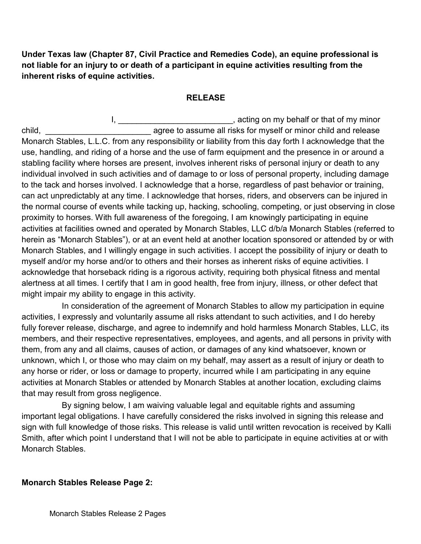**Under Texas law (Chapter 87, Civil Practice and Remedies Code), an equine professional is not liable for an injury to or death of a participant in equine activities resulting from the inherent risks of equine activities.** 

## **RELEASE**

I, \_\_\_\_\_\_\_\_\_\_\_\_\_\_\_\_\_\_\_\_\_\_\_\_\_\_, acting on my behalf or that of my minor child, \_\_\_\_\_\_\_\_\_\_\_\_\_\_\_\_\_\_\_\_\_\_\_ agree to assume all risks for myself or minor child and release Monarch Stables, L.L.C. from any responsibility or liability from this day forth I acknowledge that the use, handling, and riding of a horse and the use of farm equipment and the presence in or around a stabling facility where horses are present, involves inherent risks of personal injury or death to any individual involved in such activities and of damage to or loss of personal property, including damage to the tack and horses involved. I acknowledge that a horse, regardless of past behavior or training, can act unpredictably at any time. I acknowledge that horses, riders, and observers can be injured in the normal course of events while tacking up, hacking, schooling, competing, or just observing in close proximity to horses. With full awareness of the foregoing, I am knowingly participating in equine activities at facilities owned and operated by Monarch Stables, LLC d/b/a Monarch Stables (referred to herein as "Monarch Stables"), or at an event held at another location sponsored or attended by or with Monarch Stables, and I willingly engage in such activities. I accept the possibility of injury or death to myself and/or my horse and/or to others and their horses as inherent risks of equine activities. I acknowledge that horseback riding is a rigorous activity, requiring both physical fitness and mental alertness at all times. I certify that I am in good health, free from injury, illness, or other defect that might impair my ability to engage in this activity.

In consideration of the agreement of Monarch Stables to allow my participation in equine activities, I expressly and voluntarily assume all risks attendant to such activities, and I do hereby fully forever release, discharge, and agree to indemnify and hold harmless Monarch Stables, LLC, its members, and their respective representatives, employees, and agents, and all persons in privity with them, from any and all claims, causes of action, or damages of any kind whatsoever, known or unknown, which I, or those who may claim on my behalf, may assert as a result of injury or death to any horse or rider, or loss or damage to property, incurred while I am participating in any equine activities at Monarch Stables or attended by Monarch Stables at another location, excluding claims that may result from gross negligence.

By signing below, I am waiving valuable legal and equitable rights and assuming important legal obligations. I have carefully considered the risks involved in signing this release and sign with full knowledge of those risks. This release is valid until written revocation is received by Kalli Smith, after which point I understand that I will not be able to participate in equine activities at or with Monarch Stables.

## **Monarch Stables Release Page 2:**